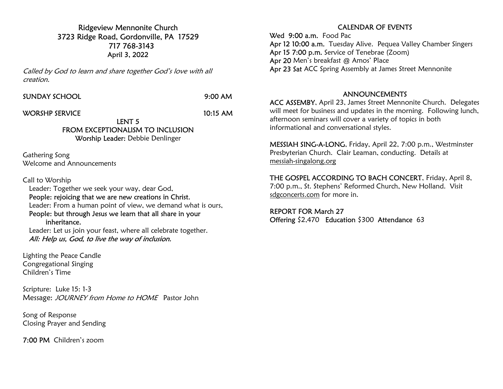Ridgeview Mennonite Church 3723 Ridge Road, Gordonville, PA 17529 717 768-3143 April 3, 2022

Called by God to learn and share together God's love with all creation.

SUNDAY SCHOOL 9:00 AM

WORSHP SERVICE 10:15 AM

LENT 5 FROM EXCEPTIONALISM TO INCLUSION Worship Leader: Debbie Denlinger

Gathering Song Welcome and Announcements

Call to Worship

 Leader: Together we seek your way, dear God, People: rejoicing that we are new creations in Christ. Leader: From a human point of view, we demand what is ours, People: but through Jesus we learn that all share in your inheritance.

 Leader: Let us join your feast, where all celebrate together. All: Help us, God, to live the way of inclusion.

Lighting the Peace Candle Congregational Singing Children's Time

Scripture: Luke 15: 1-3 Message: JOURNEY from Home to HOME Pastor John

Song of Response Closing Prayer and Sending

7:00 PM Children's zoom

## CALENDAR OF EVENTS

Wed 9:00 a.m. Food Pac Apr 12 10:00 a.m. Tuesday Alive. Pequea Valley Chamber Singers Apr 15 7:00 p.m. Service of Tenebrae (Zoom) Apr 20 Men's breakfast @ Amos' Place Apr 23 Sat ACC Spring Assembly at James Street Mennonite

## ANNOUNCEMENTS

ACC ASSEMBY, April 23, James Street Mennonite Church. Delegates will meet for business and updates in the morning. Following lunch, afternoon seminars will cover a variety of topics in both informational and conversational styles.

MESSIAH SING-A-LONG, Friday, April 22, 7:00 p.m., Westminster Presbyterian Church. Clair Leaman, conducting. Details at messiah-singalong.org

THE GOSPEL ACCORDING TO BACH CONCERT, Friday, April 8, 7:00 p.m., St. Stephens' Reformed Church, New Holland. Visit sdgconcerts.com for more in.

REPORT FOR March 27 Offering \$2,470 Education \$300 Attendance 63